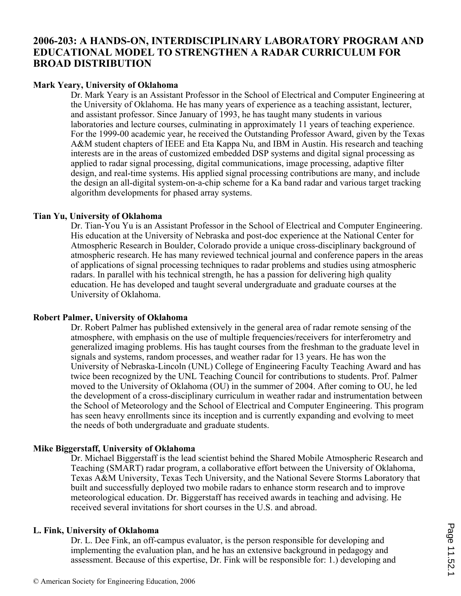## **2006-203: A HANDS-ON, INTERDISCIPLINARY LABORATORY PROGRAM AND EDUCATIONAL MODEL TO STRENGTHEN A RADAR CURRICULUM FOR BROAD DISTRIBUTION**

## **Mark Yeary, University of Oklahoma**

Dr. Mark Yeary is an Assistant Professor in the School of Electrical and Computer Engineering at the University of Oklahoma. He has many years of experience as a teaching assistant, lecturer, and assistant professor. Since January of 1993, he has taught many students in various laboratories and lecture courses, culminating in approximately 11 years of teaching experience. For the 1999-00 academic year, he received the Outstanding Professor Award, given by the Texas A&M student chapters of IEEE and Eta Kappa Nu, and IBM in Austin. His research and teaching interests are in the areas of customized embedded DSP systems and digital signal processing as applied to radar signal processing, digital communications, image processing, adaptive filter design, and real-time systems. His applied signal processing contributions are many, and include the design an all-digital system-on-a-chip scheme for a Ka band radar and various target tracking algorithm developments for phased array systems.

## **Tian Yu, University of Oklahoma**

Dr. Tian-You Yu is an Assistant Professor in the School of Electrical and Computer Engineering. His education at the University of Nebraska and post-doc experience at the National Center for Atmospheric Research in Boulder, Colorado provide a unique cross-disciplinary background of atmospheric research. He has many reviewed technical journal and conference papers in the areas of applications of signal processing techniques to radar problems and studies using atmospheric radars. In parallel with his technical strength, he has a passion for delivering high quality education. He has developed and taught several undergraduate and graduate courses at the University of Oklahoma.

## **Robert Palmer, University of Oklahoma**

Dr. Robert Palmer has published extensively in the general area of radar remote sensing of the atmosphere, with emphasis on the use of multiple frequencies/receivers for interferometry and generalized imaging problems. His has taught courses from the freshman to the graduate level in signals and systems, random processes, and weather radar for 13 years. He has won the University of Nebraska-Lincoln (UNL) College of Engineering Faculty Teaching Award and has twice been recognized by the UNL Teaching Council for contributions to students. Prof. Palmer moved to the University of Oklahoma (OU) in the summer of 2004. After coming to OU, he led the development of a cross-disciplinary curriculum in weather radar and instrumentation between the School of Meteorology and the School of Electrical and Computer Engineering. This program has seen heavy enrollments since its inception and is currently expanding and evolving to meet the needs of both undergraduate and graduate students.

## **Mike Biggerstaff, University of Oklahoma**

Dr. Michael Biggerstaff is the lead scientist behind the Shared Mobile Atmospheric Research and Teaching (SMART) radar program, a collaborative effort between the University of Oklahoma, Texas A&M University, Texas Tech University, and the National Severe Storms Laboratory that built and successfully deployed two mobile radars to enhance storm research and to improve meteorological education. Dr. Biggerstaff has received awards in teaching and advising. He received several invitations for short courses in the U.S. and abroad.

## **L. Fink, University of Oklahoma**

Dr. L. Dee Fink, an off-campus evaluator, is the person responsible for developing and implementing the evaluation plan, and he has an extensive background in pedagogy and assessment. Because of this expertise, Dr. Fink will be responsible for: 1.) developing and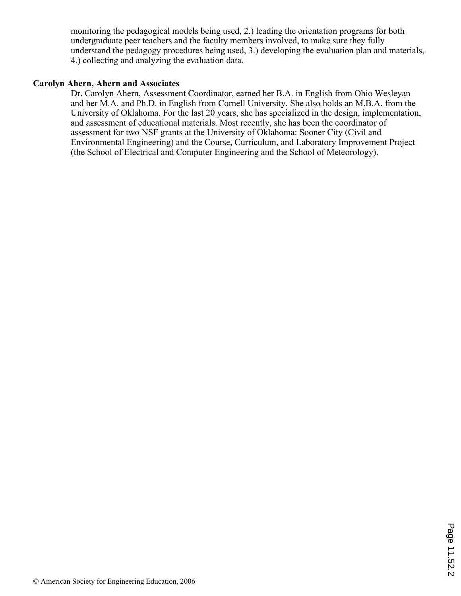monitoring the pedagogical models being used, 2.) leading the orientation programs for both undergraduate peer teachers and the faculty members involved, to make sure they fully understand the pedagogy procedures being used, 3.) developing the evaluation plan and materials, 4.) collecting and analyzing the evaluation data.

## **Carolyn Ahern, Ahern and Associates**

Dr. Carolyn Ahern, Assessment Coordinator, earned her B.A. in English from Ohio Wesleyan and her M.A. and Ph.D. in English from Cornell University. She also holds an M.B.A. from the University of Oklahoma. For the last 20 years, she has specialized in the design, implementation, and assessment of educational materials. Most recently, she has been the coordinator of assessment for two NSF grants at the University of Oklahoma: Sooner City (Civil and Environmental Engineering) and the Course, Curriculum, and Laboratory Improvement Project (the School of Electrical and Computer Engineering and the School of Meteorology).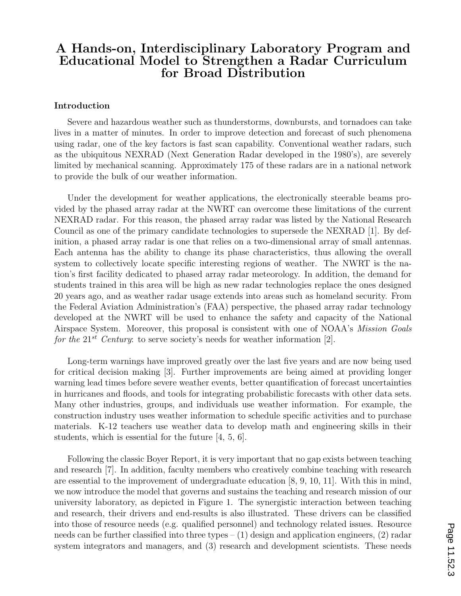## A Hands-on, Interdisciplinary Laboratory Program and Educational Model to Strengthen a Radar Curriculum for Broad Distribution

#### Introduction

Severe and hazardous weather such as thunderstorms, downbursts, and tornadoes can take lives in a matter of minutes. In order to improve detection and forecast of such phenomena using radar, one of the key factors is fast scan capability. Conventional weather radars, such as the ubiquitous NEXRAD (Next Generation Radar developed in the 1980's), are severely limited by mechanical scanning. Approximately 175 of these radars are in a national network to provide the bulk of our weather information.

Under the development for weather applications, the electronically steerable beams provided by the phased array radar at the NWRT can overcome these limitations of the current NEXRAD radar. For this reason, the phased array radar was listed by the National Research Council as one of the primary candidate technologies to supersede the NEXRAD [1]. By definition, a phased array radar is one that relies on a two-dimensional array of small antennas. Each antenna has the ability to change its phase characteristics, thus allowing the overall system to collectively locate specific interesting regions of weather. The NWRT is the nation's first facility dedicated to phased array radar meteorology. In addition, the demand for students trained in this area will be high as new radar technologies replace the ones designed 20 years ago, and as weather radar usage extends into areas such as homeland security. From the Federal Aviation Administration's (FAA) perspective, the phased array radar technology developed at the NWRT will be used to enhance the safety and capacity of the National Airspace System. Moreover, this proposal is consistent with one of NOAA's Mission Goals for the  $21^{st}$  Century: to serve society's needs for weather information [2].

Long-term warnings have improved greatly over the last five years and are now being used for critical decision making [3]. Further improvements are being aimed at providing longer warning lead times before severe weather events, better quantification of forecast uncertainties in hurricanes and floods, and tools for integrating probabilistic forecasts with other data sets. Many other industries, groups, and individuals use weather information. For example, the construction industry uses weather information to schedule specific activities and to purchase materials. K-12 teachers use weather data to develop math and engineering skills in their students, which is essential for the future [4, 5, 6].

Following the classic Boyer Report, it is very important that no gap exists between teaching and research [7]. In addition, faculty members who creatively combine teaching with research are essential to the improvement of undergraduate education [8, 9, 10, 11]. With this in mind, we now introduce the model that governs and sustains the teaching and research mission of our university laboratory, as depicted in Figure 1. The synergistic interaction between teaching and research, their drivers and end-results is also illustrated. These drivers can be classified into those of resource needs (e.g. qualified personnel) and technology related issues. Resource needs can be further classified into three types  $- (1)$  design and application engineers,  $(2)$  radar system integrators and managers, and (3) research and development scientists. These needs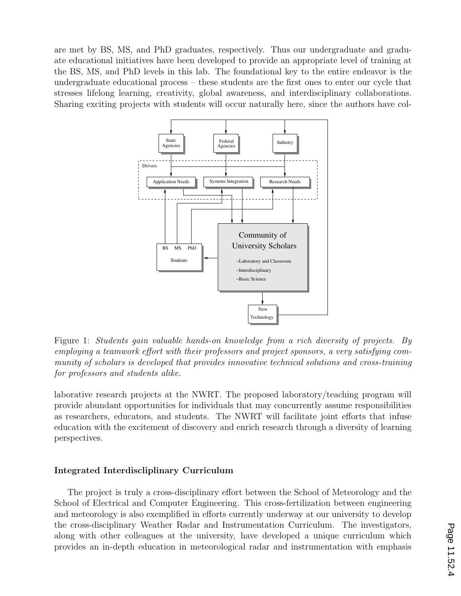are met by BS, MS, and PhD graduates, respectively. Thus our undergraduate and graduate educational initiatives have been developed to provide an appropriate level of training at the BS, MS, and PhD levels in this lab. The foundational key to the entire endeavor is the undergraduate educational process – these students are the first ones to enter our cycle that stresses lifelong learning, creativity, global awareness, and interdisciplinary collaborations. Sharing exciting projects with students will occur naturally here, since the authors have col-



Figure 1: Students gain valuable hands-on knowledge from a rich diversity of projects. By employing a teamwork effort with their professors and project sponsors, a very satisfying community of scholars is developed that provides innovative technical solutions and cross-training for professors and students alike.

laborative research projects at the NWRT. The proposed laboratory/teaching program will provide abundant opportunities for individuals that may concurrently assume responsibilities as researchers, educators, and students. The NWRT will facilitate joint efforts that infuse education with the excitement of discovery and enrich research through a diversity of learning perspectives.

#### Integrated Interdiscliplinary Curriculum

The project is truly a cross-disciplinary effort between the School of Meteorology and the School of Electrical and Computer Engineering. This cross-fertilization between engineering and meteorology is also exemplified in efforts currently underway at our university to develop the cross-disciplinary Weather Radar and Instrumentation Curriculum. The investigators, along with other colleagues at the university, have developed a unique curriculum which provides an in-depth education in meteorological radar and instrumentation with emphasis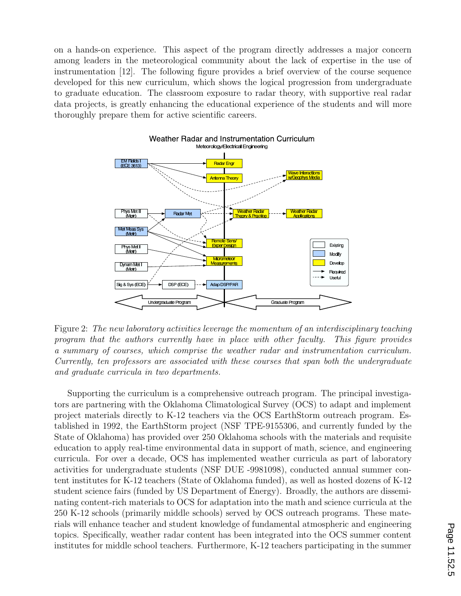on a hands-on experience. This aspect of the program directly addresses a major concern among leaders in the meteorological community about the lack of expertise in the use of instrumentation [12]. The following figure provides a brief overview of the course sequence developed for this new curriculum, which shows the logical progression from undergraduate to graduate education. The classroom exposure to radar theory, with supportive real radar data projects, is greatly enhancing the educational experience of the students and will more thoroughly prepare them for active scientific careers.



Figure 2: The new laboratory activities leverage the momentum of an interdisciplinary teaching program that the authors currently have in place with other faculty. This figure provides a summary of courses, which comprise the weather radar and instrumentation curriculum. Currently, ten professors are associated with these courses that span both the undergraduate and graduate curricula in two departments.

Supporting the curriculum is a comprehensive outreach program. The principal investigators are partnering with the Oklahoma Climatological Survey (OCS) to adapt and implement project materials directly to K-12 teachers via the OCS EarthStorm outreach program. Established in 1992, the EarthStorm project (NSF TPE-9155306, and currently funded by the State of Oklahoma) has provided over 250 Oklahoma schools with the materials and requisite education to apply real-time environmental data in support of math, science, and engineering curricula. For over a decade, OCS has implemented weather curricula as part of laboratory activities for undergraduate students (NSF DUE -9981098), conducted annual summer content institutes for K-12 teachers (State of Oklahoma funded), as well as hosted dozens of K-12 student science fairs (funded by US Department of Energy). Broadly, the authors are disseminating content-rich materials to OCS for adaptation into the math and science curricula at the 250 K-12 schools (primarily middle schools) served by OCS outreach programs. These materials will enhance teacher and student knowledge of fundamental atmospheric and engineering topics. Specifically, weather radar content has been integrated into the OCS summer content institutes for middle school teachers. Furthermore, K-12 teachers participating in the summer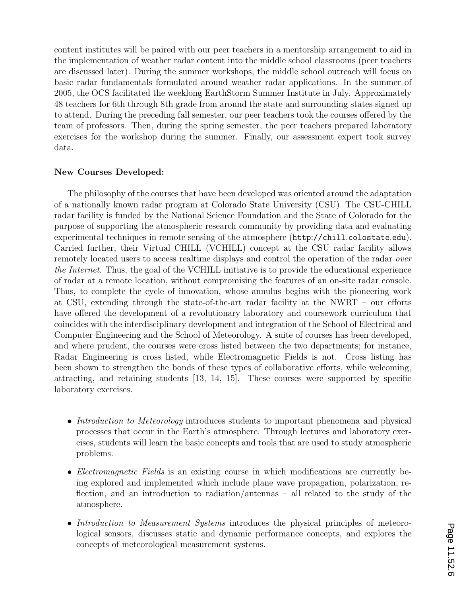content institutes will be paired with our peer teachers in a mentorship arrangement to aid in the implementation of weather radar content into the middle school classrooms (peer teachers are discussed later). During the summer workshops, the middle school outreach will focus on basic radar fundamentals formulated around weather radar applications. In the summer of 2005, the OCS facilitated the weeklong EarthStorm Summer Institute in July. Approximately 48 teachers for 6th through 8th grade from around the state and surrounding states signed up to attend. During the preceding fall semester, our peer teachers took the courses offered by the team of professors. Then, during the spring semester, the peer teachers prepared laboratory exercises for the workshop during the summer. Finally, our assessment expert took survey data.

#### New Courses Developed:

The philosophy of the courses that have been developed was oriented around the adaptation of a nationally known radar program at Colorado State University (CSU). The CSU-CHILL radar facility is funded by the National Science Foundation and the State of Colorado for the purpose of supporting the atmospheric research community by providing data and evaluating experimental techniques in remote sensing of the atmosphere (http://chill.colostate.edu). Carried further, their Virtual CHILL (VCHILL) concept at the CSU radar facility allows remotely located users to access realtime displays and control the operation of the radar over the Internet. Thus, the goal of the VCHILL initiative is to provide the educational experience of radar at a remote location, without compromising the features of an on-site radar console. Thus, to complete the cycle of innovation, whose annulus begins with the pioneering work at CSU, extending through the state-of-the-art radar facility at the NWRT – our efforts have offered the development of a revolutionary laboratory and coursework curriculum that coincides with the interdisciplinary development and integration of the School of Electrical and Computer Engineering and the School of Meteorology. A suite of courses has been developed, and where prudent, the courses were cross listed between the two departments; for instance, Radar Engineering is cross listed, while Electromagnetic Fields is not. Cross listing has been shown to strengthen the bonds of these types of collaborative efforts, while welcoming, attracting, and retaining students [13, 14, 15]. These courses were supported by specific laboratory exercises.

- Introduction to Meteorology introduces students to important phenomena and physical processes that occur in the Earth's atmosphere. Through lectures and laboratory exercises, students will learn the basic concepts and tools that are used to study atmospheric problems.
- Electromagnetic Fields is an existing course in which modifications are currently being explored and implemented which include plane wave propagation, polarization, reflection, and an introduction to radiation/antennas – all related to the study of the atmosphere.
- Introduction to Measurement Systems introduces the physical principles of meteorological sensors, discusses static and dynamic performance concepts, and explores the concepts of meteorological measurement systems.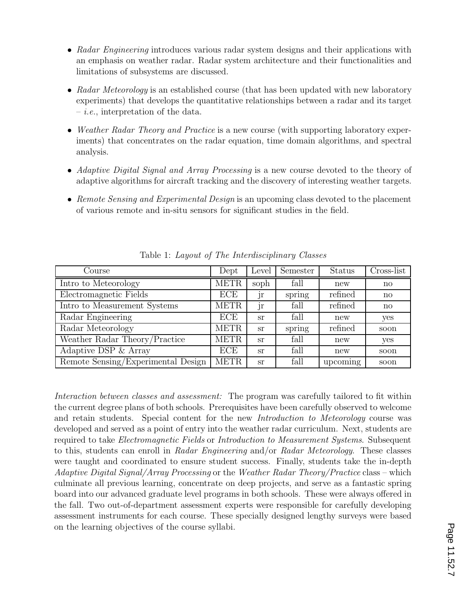- Radar Engineering introduces various radar system designs and their applications with an emphasis on weather radar. Radar system architecture and their functionalities and limitations of subsystems are discussed.
- Radar Meteorology is an established course (that has been updated with new laboratory experiments) that develops the quantitative relationships between a radar and its target  $- i.e.,$  interpretation of the data.
- Weather Radar Theory and Practice is a new course (with supporting laboratory experiments) that concentrates on the radar equation, time domain algorithms, and spectral analysis.
- Adaptive Digital Signal and Array Processing is a new course devoted to the theory of adaptive algorithms for aircraft tracking and the discovery of interesting weather targets.
- Remote Sensing and Experimental Design is an upcoming class devoted to the placement of various remote and in-situ sensors for significant studies in the field.

| Course                             | Dept        | Level         | Semester | <b>Status</b> | Cross-list   |
|------------------------------------|-------------|---------------|----------|---------------|--------------|
| Intro to Meteorology               | <b>METR</b> | soph          | fall     | new           | no           |
| Electromagnetic Fields             | ECE         | JΓ            | spring   | refined       | no           |
| Intro to Measurement Systems       | <b>METR</b> | <sub>Jr</sub> | fall     | refined       | $\mathbf{n}$ |
| Radar Engineering                  | ECE         | <b>Sr</b>     | fall     | new           | yes          |
| Radar Meteorology                  | <b>METR</b> | <b>Sr</b>     | spring   | refined       | soon         |
| Weather Radar Theory/Practice      | <b>METR</b> | <b>Sr</b>     | fall     | new           | yes          |
| Adaptive DSP & Array               | <b>ECE</b>  | <b>Sr</b>     | fall     | new           | soon         |
| Remote Sensing/Experimental Design | <b>METR</b> | <b>Sr</b>     | fall     | upcoming      | soon         |

Table 1: Layout of The Interdisciplinary Classes

Interaction between classes and assessment: The program was carefully tailored to fit within the current degree plans of both schools. Prerequisites have been carefully observed to welcome and retain students. Special content for the new Introduction to Meteorology course was developed and served as a point of entry into the weather radar curriculum. Next, students are required to take Electromagnetic Fields or Introduction to Measurement Systems. Subsequent to this, students can enroll in Radar Engineering and/or Radar Meteorology. These classes were taught and coordinated to ensure student success. Finally, students take the in-depth Adaptive Digital Signal/Array Processing or the Weather Radar Theory/Practice class – which culminate all previous learning, concentrate on deep projects, and serve as a fantastic spring board into our advanced graduate level programs in both schools. These were always offered in the fall. Two out-of-department assessment experts were responsible for carefully developing assessment instruments for each course. These specially designed lengthy surveys were based on the learning objectives of the course syllabi.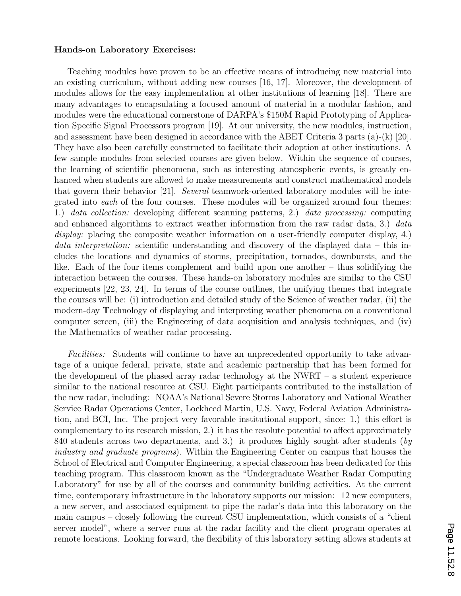#### Hands-on Laboratory Exercises:

Teaching modules have proven to be an effective means of introducing new material into an existing curriculum, without adding new courses [16, 17]. Moreover, the development of modules allows for the easy implementation at other institutions of learning [18]. There are many advantages to encapsulating a focused amount of material in a modular fashion, and modules were the educational cornerstone of DARPA's \$150M Rapid Prototyping of Application Specific Signal Processors program [19]. At our university, the new modules, instruction, and assessment have been designed in accordance with the ABET Criteria 3 parts (a)-(k) [20]. They have also been carefully constructed to facilitate their adoption at other institutions. A few sample modules from selected courses are given below. Within the sequence of courses, the learning of scientific phenomena, such as interesting atmospheric events, is greatly enhanced when students are allowed to make measurements and construct mathematical models that govern their behavior [21]. Several teamwork-oriented laboratory modules will be integrated into each of the four courses. These modules will be organized around four themes: 1.) data collection: developing different scanning patterns, 2.) data processing: computing and enhanced algorithms to extract weather information from the raw radar data, 3.) data display: placing the composite weather information on a user-friendly computer display, 4.) *data interpretation:* scientific understanding and discovery of the displayed data – this includes the locations and dynamics of storms, precipitation, tornados, downbursts, and the like. Each of the four items complement and build upon one another – thus solidifying the interaction between the courses. These hands-on laboratory modules are similar to the CSU experiments [22, 23, 24]. In terms of the course outlines, the unifying themes that integrate the courses will be: (i) introduction and detailed study of the Science of weather radar, (ii) the modern-day Technology of displaying and interpreting weather phenomena on a conventional computer screen, (iii) the Engineering of data acquisition and analysis techniques, and (iv) the Mathematics of weather radar processing.

Facilities: Students will continue to have an unprecedented opportunity to take advantage of a unique federal, private, state and academic partnership that has been formed for the development of the phased array radar technology at the NWRT – a student experience similar to the national resource at CSU. Eight participants contributed to the installation of the new radar, including: NOAA's National Severe Storms Laboratory and National Weather Service Radar Operations Center, Lockheed Martin, U.S. Navy, Federal Aviation Administration, and BCI, Inc. The project very favorable institutional support, since: 1.) this effort is complementary to its research mission, 2.) it has the resolute potential to affect approximately 840 students across two departments, and 3.) it produces highly sought after students (by industry and graduate programs). Within the Engineering Center on campus that houses the School of Electrical and Computer Engineering, a special classroom has been dedicated for this teaching program. This classroom known as the "Undergraduate Weather Radar Computing Laboratory" for use by all of the courses and community building activities. At the current time, contemporary infrastructure in the laboratory supports our mission: 12 new computers, a new server, and associated equipment to pipe the radar's data into this laboratory on the main campus – closely following the current CSU implementation, which consists of a "client server model", where a server runs at the radar facility and the client program operates at remote locations. Looking forward, the flexibility of this laboratory setting allows students at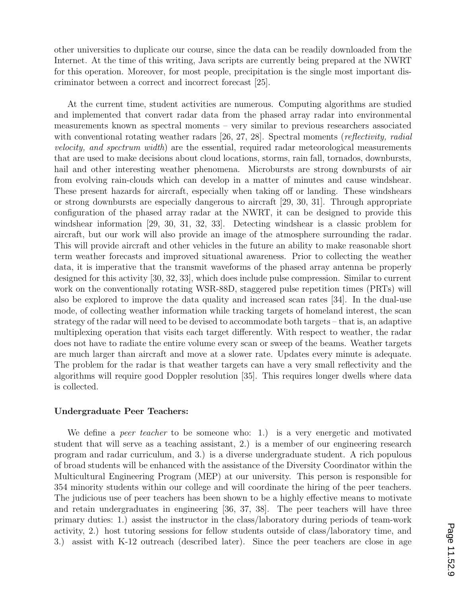other universities to duplicate our course, since the data can be readily downloaded from the Internet. At the time of this writing, Java scripts are currently being prepared at the NWRT for this operation. Moreover, for most people, precipitation is the single most important discriminator between a correct and incorrect forecast [25].

At the current time, student activities are numerous. Computing algorithms are studied and implemented that convert radar data from the phased array radar into environmental measurements known as spectral moments – very similar to previous researchers associated with conventional rotating weather radars [26, 27, 28]. Spectral moments (reflectivity, radial velocity, and spectrum width) are the essential, required radar meteorological measurements that are used to make decisions about cloud locations, storms, rain fall, tornados, downbursts, hail and other interesting weather phenomena. Microbursts are strong downbursts of air from evolving rain-clouds which can develop in a matter of minutes and cause windshear. These present hazards for aircraft, especially when taking off or landing. These windshears or strong downbursts are especially dangerous to aircraft [29, 30, 31]. Through appropriate configuration of the phased array radar at the NWRT, it can be designed to provide this windshear information [29, 30, 31, 32, 33]. Detecting windshear is a classic problem for aircraft, but our work will also provide an image of the atmosphere surrounding the radar. This will provide aircraft and other vehicles in the future an ability to make reasonable short term weather forecasts and improved situational awareness. Prior to collecting the weather data, it is imperative that the transmit waveforms of the phased array antenna be properly designed for this activity [30, 32, 33], which does include pulse compression. Similar to current work on the conventionally rotating WSR-88D, staggered pulse repetition times (PRTs) will also be explored to improve the data quality and increased scan rates [34]. In the dual-use mode, of collecting weather information while tracking targets of homeland interest, the scan strategy of the radar will need to be devised to accommodate both targets – that is, an adaptive multiplexing operation that visits each target differently. With respect to weather, the radar does not have to radiate the entire volume every scan or sweep of the beams. Weather targets are much larger than aircraft and move at a slower rate. Updates every minute is adequate. The problem for the radar is that weather targets can have a very small reflectivity and the algorithms will require good Doppler resolution [35]. This requires longer dwells where data is collected.

#### Undergraduate Peer Teachers:

We define a *peer teacher* to be someone who: 1.) is a very energetic and motivated student that will serve as a teaching assistant, 2.) is a member of our engineering research program and radar curriculum, and 3.) is a diverse undergraduate student. A rich populous of broad students will be enhanced with the assistance of the Diversity Coordinator within the Multicultural Engineering Program (MEP) at our university. This person is responsible for 354 minority students within our college and will coordinate the hiring of the peer teachers. The judicious use of peer teachers has been shown to be a highly effective means to motivate and retain undergraduates in engineering [36, 37, 38]. The peer teachers will have three primary duties: 1.) assist the instructor in the class/laboratory during periods of team-work activity, 2.) host tutoring sessions for fellow students outside of class/laboratory time, and 3.) assist with K-12 outreach (described later). Since the peer teachers are close in age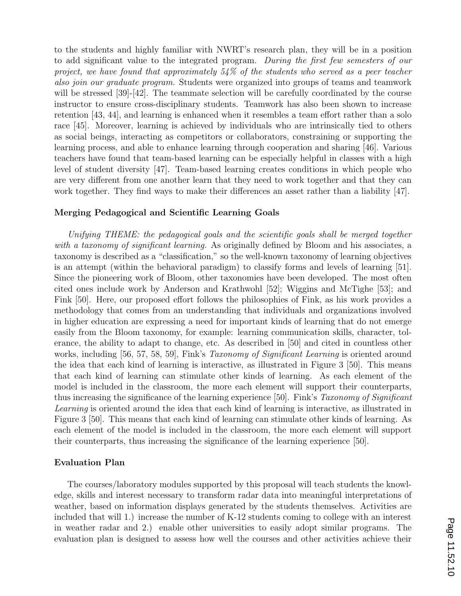to the students and highly familiar with NWRT's research plan, they will be in a position to add significant value to the integrated program. During the first few semesters of our project, we have found that approximately 54% of the students who served as a peer teacher also join our graduate program. Students were organized into groups of teams and teamwork will be stressed [39]-[42]. The teammate selection will be carefully coordinated by the course instructor to ensure cross-disciplinary students. Teamwork has also been shown to increase retention [43, 44], and learning is enhanced when it resembles a team effort rather than a solo race [45]. Moreover, learning is achieved by individuals who are intrinsically tied to others as social beings, interacting as competitors or collaborators, constraining or supporting the learning process, and able to enhance learning through cooperation and sharing [46]. Various teachers have found that team-based learning can be especially helpful in classes with a high level of student diversity [47]. Team-based learning creates conditions in which people who are very different from one another learn that they need to work together and that they can work together. They find ways to make their differences an asset rather than a liability [47].

#### Merging Pedagogical and Scientific Learning Goals

Unifying THEME: the pedagogical goals and the scientific goals shall be merged together with a taxonomy of significant learning. As originally defined by Bloom and his associates, a taxonomy is described as a "classification," so the well-known taxonomy of learning objectives is an attempt (within the behavioral paradigm) to classify forms and levels of learning [51]. Since the pioneering work of Bloom, other taxonomies have been developed. The most often cited ones include work by Anderson and Krathwohl [52]; Wiggins and McTighe [53]; and Fink [50]. Here, our proposed effort follows the philosophies of Fink, as his work provides a methodology that comes from an understanding that individuals and organizations involved in higher education are expressing a need for important kinds of learning that do not emerge easily from the Bloom taxonomy, for example: learning communication skills, character, tolerance, the ability to adapt to change, etc. As described in [50] and cited in countless other works, including [56, 57, 58, 59], Fink's *Taxonomy of Significant Learning* is oriented around the idea that each kind of learning is interactive, as illustrated in Figure 3 [50]. This means that each kind of learning can stimulate other kinds of learning. As each element of the model is included in the classroom, the more each element will support their counterparts, thus increasing the significance of the learning experience [50]. Fink's Taxonomy of Significant Learning is oriented around the idea that each kind of learning is interactive, as illustrated in Figure 3 [50]. This means that each kind of learning can stimulate other kinds of learning. As each element of the model is included in the classroom, the more each element will support their counterparts, thus increasing the significance of the learning experience [50].

#### Evaluation Plan

The courses/laboratory modules supported by this proposal will teach students the knowledge, skills and interest necessary to transform radar data into meaningful interpretations of weather, based on information displays generated by the students themselves. Activities are included that will 1.) increase the number of K-12 students coming to college with an interest in weather radar and 2.) enable other universities to easily adopt similar programs. The evaluation plan is designed to assess how well the courses and other activities achieve their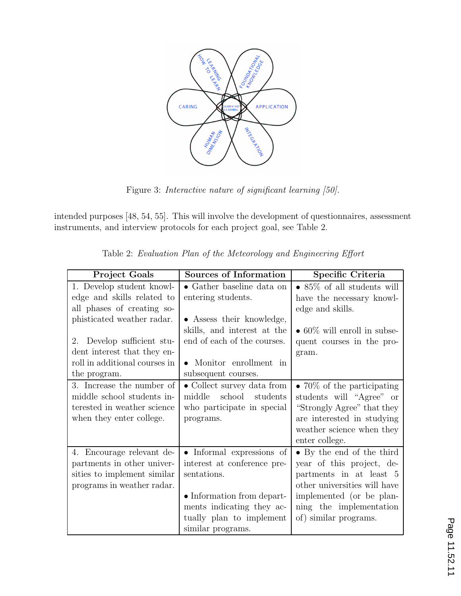

Figure 3: Interactive nature of significant learning [50].

intended purposes [48, 54, 55]. This will involve the development of questionnaires, assessment instruments, and interview protocols for each project goal, see Table 2.

| <b>Project Goals</b>                                                                                                                                                           | Sources of Information                                                                                                                                                              | Specific Criteria                                                                                                                                                                                 |
|--------------------------------------------------------------------------------------------------------------------------------------------------------------------------------|-------------------------------------------------------------------------------------------------------------------------------------------------------------------------------------|---------------------------------------------------------------------------------------------------------------------------------------------------------------------------------------------------|
| 1. Develop student knowl-<br>edge and skills related to                                                                                                                        | $\bullet$ Gather baseline data on<br>entering students.                                                                                                                             | • $85\%$ of all students will<br>have the necessary knowl-                                                                                                                                        |
| all phases of creating so-<br>phisticated weather radar.<br>Develop sufficient stu-<br>$2_{-}$<br>dent interest that they en-<br>roll in additional courses in<br>the program. | • Assess their knowledge,<br>skills, and interest at the<br>end of each of the courses.<br>Monitor enrollment in<br>$\bullet$<br>subsequent courses.                                | edge and skills.<br>$\bullet$ 60\% will enroll in subse-<br>quent courses in the pro-<br>gram.                                                                                                    |
| 3. Increase the number of<br>middle school students in-<br>terested in weather science<br>when they enter college.                                                             | • Collect survey data from<br>school students<br>middle<br>who participate in special<br>programs.                                                                                  | • 70\% of the participating<br>students will "Agree" or<br>"Strongly Agree" that they<br>are interested in studying<br>weather science when they<br>enter college.                                |
| 4. Encourage relevant de-<br>partments in other univer-<br>sities to implement similar<br>programs in weather radar.                                                           | • Informal expressions of<br>interest at conference pre-<br>sentations.<br>• Information from depart-<br>ments indicating they ac-<br>tually plan to implement<br>similar programs. | • By the end of the third<br>year of this project, de-<br>partments in at least 5<br>other universities will have<br>implemented (or be plan-<br>ning the implementation<br>of) similar programs. |

Table 2: Evaluation Plan of the Meteorology and Engineering Effort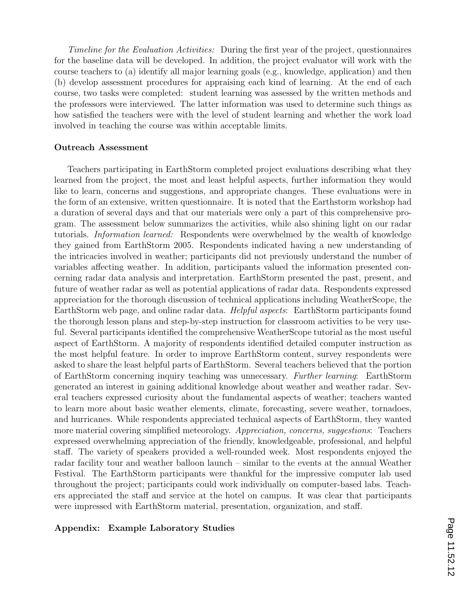Timeline for the Evaluation Activities: During the first year of the project, questionnaires for the baseline data will be developed. In addition, the project evaluator will work with the course teachers to (a) identify all major learning goals (e.g., knowledge, application) and then (b) develop assessment procedures for appraising each kind of learning. At the end of each course, two tasks were completed: student learning was assessed by the written methods and the professors were interviewed. The latter information was used to determine such things as how satisfied the teachers were with the level of student learning and whether the work load involved in teaching the course was within acceptable limits.

#### Outreach Assessment

Teachers participating in EarthStorm completed project evaluations describing what they learned from the project, the most and least helpful aspects, further information they would like to learn, concerns and suggestions, and appropriate changes. These evaluations were in the form of an extensive, written questionnaire. It is noted that the Earthstorm workshop had a duration of several days and that our materials were only a part of this comprehensive program. The assessment below summarizes the activities, while also shining light on our radar tutorials. Information learned: Respondents were overwhelmed by the wealth of knowledge they gained from EarthStorm 2005. Respondents indicated having a new understanding of the intricacies involved in weather; participants did not previously understand the number of variables affecting weather. In addition, participants valued the information presented concerning radar data analysis and interpretation. EarthStorm presented the past, present, and future of weather radar as well as potential applications of radar data. Respondents expressed appreciation for the thorough discussion of technical applications including WeatherScope, the EarthStorm web page, and online radar data. Helpful aspects: EarthStorm participants found the thorough lesson plans and step-by-step instruction for classroom activities to be very useful. Several participants identified the comprehensive WeatherScope tutorial as the most useful aspect of EarthStorm. A majority of respondents identified detailed computer instruction as the most helpful feature. In order to improve EarthStorm content, survey respondents were asked to share the least helpful parts of EarthStorm. Several teachers believed that the portion of EarthStorm concerning inquiry teaching was unnecessary. Further learning: EarthStorm generated an interest in gaining additional knowledge about weather and weather radar. Several teachers expressed curiosity about the fundamental aspects of weather; teachers wanted to learn more about basic weather elements, climate, forecasting, severe weather, tornadoes, and hurricanes. While respondents appreciated technical aspects of EarthStorm, they wanted more material covering simplified meteorology. Appreciation, concerns, suggestions: Teachers expressed overwhelming appreciation of the friendly, knowledgeable, professional, and helpful staff. The variety of speakers provided a well-rounded week. Most respondents enjoyed the radar facility tour and weather balloon launch – similar to the events at the annual Weather Festival. The EarthStorm participants were thankful for the impressive computer lab used throughout the project; participants could work individually on computer-based labs. Teachers appreciated the staff and service at the hotel on campus. It was clear that participants were impressed with EarthStorm material, presentation, organization, and staff.

#### Appendix: Example Laboratory Studies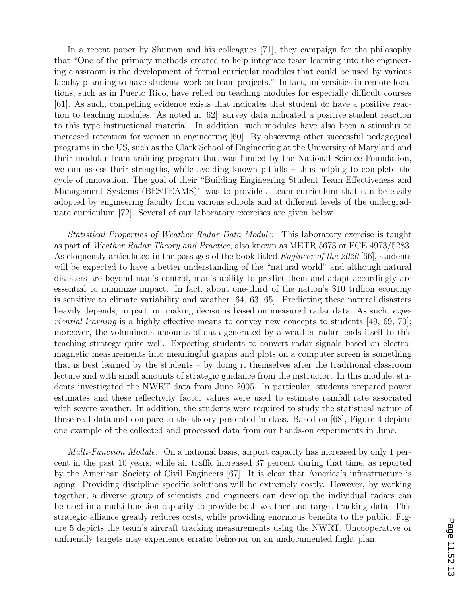In a recent paper by Shuman and his colleagues [71], they campaign for the philosophy that "One of the primary methods created to help integrate team learning into the engineering classroom is the development of formal curricular modules that could be used by various faculty planning to have students work on team projects." In fact, universities in remote locations, such as in Puerto Rico, have relied on teaching modules for especially difficult courses [61]. As such, compelling evidence exists that indicates that student do have a positive reaction to teaching modules. As noted in [62], survey data indicated a positive student reaction to this type instructional material. In addition, such modules have also been a stimulus to increased retention for women in engineering [60]. By observing other successful pedagogical programs in the US, such as the Clark School of Engineering at the University of Maryland and their modular team training program that was funded by the National Science Foundation, we can assess their strengths, while avoiding known pitfalls – thus helping to complete the cycle of innovation. The goal of their "Building Engineering Student Team Effectiveness and Management Systems (BESTEAMS)" was to provide a team curriculum that can be easily adopted by engineering faculty from various schools and at different levels of the undergraduate curriculum [72]. Several of our laboratory exercises are given below.

Statistical Properties of Weather Radar Data Module: This laboratory exercise is taught as part of Weather Radar Theory and Practice, also known as METR 5673 or ECE 4973/5283. As eloquently articulated in the passages of the book titled *Engineer of the 2020* [66], students will be expected to have a better understanding of the "natural world" and although natural disasters are beyond man's control, man's ability to predict them and adapt accordingly are essential to minimize impact. In fact, about one-third of the nation's \$10 trillion economy is sensitive to climate variability and weather [64, 63, 65]. Predicting these natural disasters heavily depends, in part, on making decisions based on measured radar data. As such, expe*riential learning* is a highly effective means to convey new concepts to students  $[49, 69, 70]$ ; moreover, the voluminous amounts of data generated by a weather radar lends itself to this teaching strategy quite well. Expecting students to convert radar signals based on electromagnetic measurements into meaningful graphs and plots on a computer screen is something that is best learned by the students – by doing it themselves after the traditional classroom lecture and with small amounts of strategic guidance from the instructor. In this module, students investigated the NWRT data from June 2005. In particular, students prepared power estimates and these reflectivity factor values were used to estimate rainfall rate associated with severe weather. In addition, the students were required to study the statistical nature of these real data and compare to the theory presented in class. Based on [68], Figure 4 depicts one example of the collected and processed data from our hands-on experiments in June.

*Multi-Function Module*: On a national basis, airport capacity has increased by only 1 percent in the past 10 years, while air traffic increased 37 percent during that time, as reported by the American Society of Civil Engineers [67]. It is clear that America's infrastructure is aging. Providing discipline specific solutions will be extremely costly. However, by working together, a diverse group of scientists and engineers can develop the individual radars can be used in a multi-function capacity to provide both weather and target tracking data. This strategic alliance greatly reduces costs, while providing enormous benefits to the public. Figure 5 depicts the team's aircraft tracking measurements using the NWRT. Uncooperative or unfriendly targets may experience erratic behavior on an undocumented flight plan.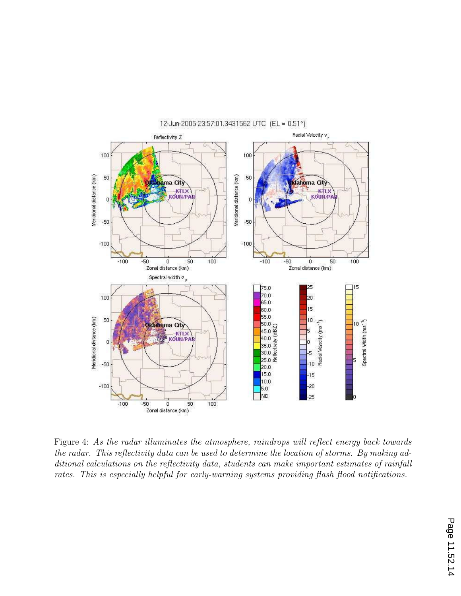

Figure 4: As the radar illuminates the atmosphere, raindrops will reflect energy back towards the radar. This reflectivity data can be used to determine the location of storms. By making additional calculations on the reflectivity data, students can make important estimates of rainfall rates. This is especially helpful for early-warning systems providing flash flood notifications.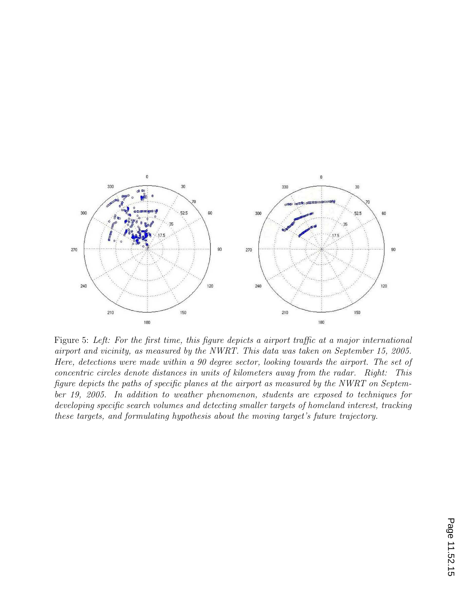

Figure 5: Left: For the first time, this figure depicts a airport traffic at a major international airport and vicinity, as measured by the NWRT. This data was taken on September 15, 2005. Here, detections were made within a 90 degree sector, looking towards the airport. The set of concentric circles denote distances in units of kilometers away from the radar. Right: This figure depicts the paths of specific planes at the airport as measured by the NWRT on September 19, 2005. In addition to weather phenomenon, students are exposed to techniques for developing specific search volumes and detecting smaller targets of homeland interest, tracking these targets, and formulating hypothesis about the moving target's future trajectory.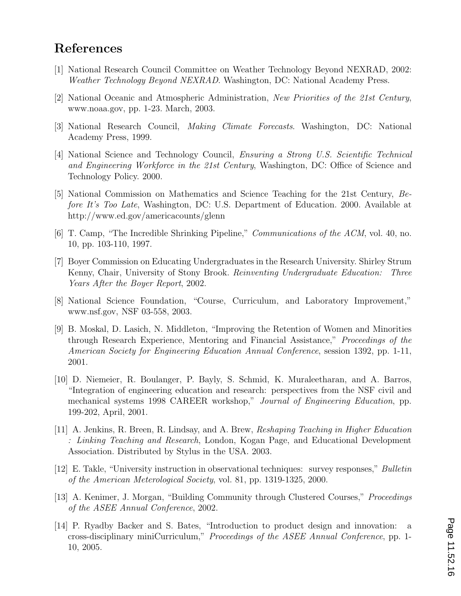# References

- [1] National Research Council Committee on Weather Technology Beyond NEXRAD, 2002: Weather Technology Beyond NEXRAD. Washington, DC: National Academy Press.
- [2] National Oceanic and Atmospheric Administration, New Priorities of the 21st Century, www.noaa.gov, pp. 1-23. March, 2003.
- [3] National Research Council, Making Climate Forecasts. Washington, DC: National Academy Press, 1999.
- [4] National Science and Technology Council, Ensuring a Strong U.S. Scientific Technical and Engineering Workforce in the 21st Century, Washington, DC: Office of Science and Technology Policy. 2000.
- [5] National Commission on Mathematics and Science Teaching for the 21st Century, Before It's Too Late, Washington, DC: U.S. Department of Education. 2000. Available at http://www.ed.gov/americacounts/glenn
- [6] T. Camp, "The Incredible Shrinking Pipeline," Communications of the ACM, vol. 40, no. 10, pp. 103-110, 1997.
- [7] Boyer Commission on Educating Undergraduates in the Research University. Shirley Strum Kenny, Chair, University of Stony Brook. Reinventing Undergraduate Education: Three Years After the Boyer Report, 2002.
- [8] National Science Foundation, "Course, Curriculum, and Laboratory Improvement," www.nsf.gov, NSF 03-558, 2003.
- [9] B. Moskal, D. Lasich, N. Middleton, "Improving the Retention of Women and Minorities through Research Experience, Mentoring and Financial Assistance," Proceedings of the American Society for Engineering Education Annual Conference, session 1392, pp. 1-11, 2001.
- [10] D. Niemeier, R. Boulanger, P. Bayly, S. Schmid, K. Muraleetharan, and A. Barros, "Integration of engineering education and research: perspectives from the NSF civil and mechanical systems 1998 CAREER workshop," Journal of Engineering Education, pp. 199-202, April, 2001.
- [11] A. Jenkins, R. Breen, R. Lindsay, and A. Brew, Reshaping Teaching in Higher Education : Linking Teaching and Research, London, Kogan Page, and Educational Development Association. Distributed by Stylus in the USA. 2003.
- [12] E. Takle, "University instruction in observational techniques: survey responses," Bulletin of the American Meterological Society, vol. 81, pp. 1319-1325, 2000.
- [13] A. Kenimer, J. Morgan, "Building Community through Clustered Courses," Proceedings of the ASEE Annual Conference, 2002.
- [14] P. Ryadby Backer and S. Bates, "Introduction to product design and innovation: cross-disciplinary miniCurriculum," Proceedings of the ASEE Annual Conference, pp. 1- 10, 2005.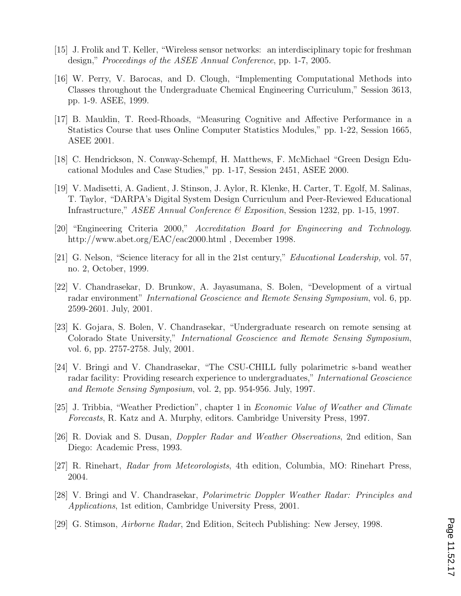- [15] J. Frolik and T. Keller, "Wireless sensor networks: an interdisciplinary topic for freshman design," Proceedings of the ASEE Annual Conference, pp. 1-7, 2005.
- [16] W. Perry, V. Barocas, and D. Clough, "Implementing Computational Methods into Classes throughout the Undergraduate Chemical Engineering Curriculum," Session 3613, pp. 1-9. ASEE, 1999.
- [17] B. Mauldin, T. Reed-Rhoads, "Measuring Cognitive and Affective Performance in a Statistics Course that uses Online Computer Statistics Modules," pp. 1-22, Session 1665, ASEE 2001.
- [18] C. Hendrickson, N. Conway-Schempf, H. Matthews, F. McMichael "Green Design Educational Modules and Case Studies," pp. 1-17, Session 2451, ASEE 2000.
- [19] V. Madisetti, A. Gadient, J. Stinson, J. Aylor, R. Klenke, H. Carter, T. Egolf, M. Salinas, T. Taylor, "DARPA's Digital System Design Curriculum and Peer-Reviewed Educational Infrastructure," *ASEE Annual Conference & Exposition*, Session 1232, pp. 1-15, 1997.
- [20] "Engineering Criteria 2000," Accreditation Board for Engineering and Technology. http://www.abet.org/EAC/eac2000.html , December 1998.
- [21] G. Nelson, "Science literacy for all in the 21st century," Educational Leadership, vol. 57, no. 2, October, 1999.
- [22] V. Chandrasekar, D. Brunkow, A. Jayasumana, S. Bolen, "Development of a virtual radar environment" *International Geoscience and Remote Sensing Symposium*, vol. 6, pp. 2599-2601. July, 2001.
- [23] K. Gojara, S. Bolen, V. Chandrasekar, "Undergraduate research on remote sensing at Colorado State University," International Geoscience and Remote Sensing Symposium, vol. 6, pp. 2757-2758. July, 2001.
- [24] V. Bringi and V. Chandrasekar, "The CSU-CHILL fully polarimetric s-band weather radar facility: Providing research experience to undergraduates," International Geoscience and Remote Sensing Symposium, vol. 2, pp. 954-956. July, 1997.
- [25] J. Tribbia, "Weather Prediction", chapter 1 in Economic Value of Weather and Climate Forecasts, R. Katz and A. Murphy, editors. Cambridge University Press, 1997.
- [26] R. Doviak and S. Dusan, Doppler Radar and Weather Observations, 2nd edition, San Diego: Academic Press, 1993.
- [27] R. Rinehart, Radar from Meteorologists, 4th edition, Columbia, MO: Rinehart Press, 2004.
- [28] V. Bringi and V. Chandrasekar, Polarimetric Doppler Weather Radar: Principles and Applications, 1st edition, Cambridge University Press, 2001.
- [29] G. Stimson, Airborne Radar, 2nd Edition, Scitech Publishing: New Jersey, 1998.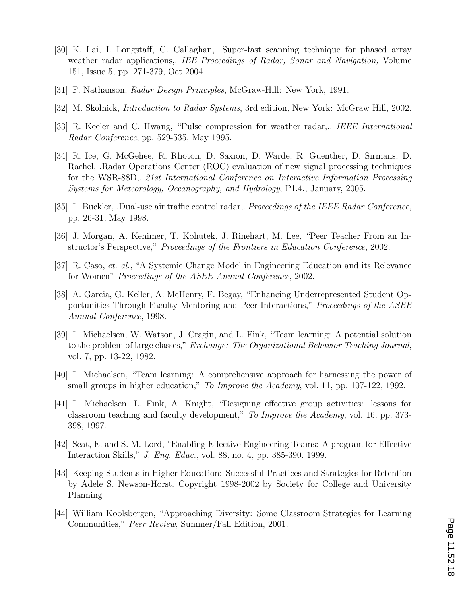- [30] K. Lai, I. Longstaff, G. Callaghan, .Super-fast scanning technique for phased array weather radar applications,. IEE Proceedings of Radar, Sonar and Navigation, Volume 151, Issue 5, pp. 271-379, Oct 2004.
- [31] F. Nathanson, Radar Design Principles, McGraw-Hill: New York, 1991.
- [32] M. Skolnick, Introduction to Radar Systems, 3rd edition, New York: McGraw Hill, 2002.
- [33] R. Keeler and C. Hwang, "Pulse compression for weather radar,.. IEEE International Radar Conference, pp. 529-535, May 1995.
- [34] R. Ice, G. McGehee, R. Rhoton, D. Saxion, D. Warde, R. Guenther, D. Sirmans, D. Rachel, .Radar Operations Center (ROC) evaluation of new signal processing techniques for the WSR-88D,. 21st International Conference on Interactive Information Processing Systems for Meteorology, Oceanography, and Hydrology, P1.4., January, 2005.
- [35] L. Buckler, .Dual-use air traffic control radar,. Proceedings of the IEEE Radar Conference, pp. 26-31, May 1998.
- [36] J. Morgan, A. Kenimer, T. Kohutek, J. Rinehart, M. Lee, "Peer Teacher From an Instructor's Perspective," Proceedings of the Frontiers in Education Conference, 2002.
- [37] R. Caso, et. al., "A Systemic Change Model in Engineering Education and its Relevance for Women" Proceedings of the ASEE Annual Conference, 2002.
- [38] A. Garcia, G. Keller, A. McHenry, F. Begay, "Enhancing Underrepresented Student Opportunities Through Faculty Mentoring and Peer Interactions," Proceedings of the ASEE Annual Conference, 1998.
- [39] L. Michaelsen, W. Watson, J. Cragin, and L. Fink, "Team learning: A potential solution to the problem of large classes," Exchange: The Organizational Behavior Teaching Journal, vol. 7, pp. 13-22, 1982.
- [40] L. Michaelsen, "Team learning: A comprehensive approach for harnessing the power of small groups in higher education," To Improve the Academy, vol. 11, pp. 107-122, 1992.
- [41] L. Michaelsen, L. Fink, A. Knight, "Designing effective group activities: lessons for classroom teaching and faculty development," To Improve the Academy, vol. 16, pp. 373- 398, 1997.
- [42] Seat, E. and S. M. Lord, "Enabling Effective Engineering Teams: A program for Effective Interaction Skills," J. Eng. Educ., vol. 88, no. 4, pp. 385-390. 1999.
- [43] Keeping Students in Higher Education: Successful Practices and Strategies for Retention by Adele S. Newson-Horst. Copyright 1998-2002 by Society for College and University Planning
- [44] William Koolsbergen, "Approaching Diversity: Some Classroom Strategies for Learning Communities," Peer Review, Summer/Fall Edition, 2001.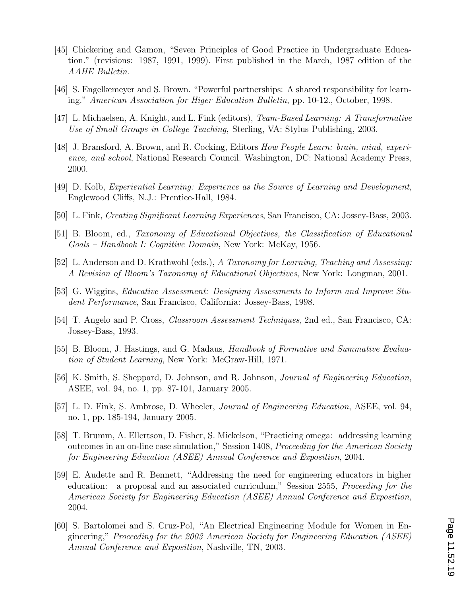- [45] Chickering and Gamon, "Seven Principles of Good Practice in Undergraduate Education." (revisions: 1987, 1991, 1999). First published in the March, 1987 edition of the AAHE Bulletin.
- [46] S. Engelkemeyer and S. Brown. "Powerful partnerships: A shared responsibility for learning." American Association for Higer Education Bulletin, pp. 10-12., October, 1998.
- [47] L. Michaelsen, A. Knight, and L. Fink (editors), Team-Based Learning: A Transformative Use of Small Groups in College Teaching, Sterling, VA: Stylus Publishing, 2003.
- [48] J. Bransford, A. Brown, and R. Cocking, Editors How People Learn: brain, mind, experience, and school, National Research Council. Washington, DC: National Academy Press, 2000.
- [49] D. Kolb, Experiential Learning: Experience as the Source of Learning and Development, Englewood Cliffs, N.J.: Prentice-Hall, 1984.
- [50] L. Fink, Creating Significant Learning Experiences, San Francisco, CA: Jossey-Bass, 2003.
- [51] B. Bloom, ed., Taxonomy of Educational Objectives, the Classification of Educational Goals – Handbook I: Cognitive Domain, New York: McKay, 1956.
- [52] L. Anderson and D. Krathwohl (eds.), A Taxonomy for Learning, Teaching and Assessing: A Revision of Bloom's Taxonomy of Educational Objectives, New York: Longman, 2001.
- [53] G. Wiggins, Educative Assessment: Designing Assessments to Inform and Improve Student Performance, San Francisco, California: Jossey-Bass, 1998.
- [54] T. Angelo and P. Cross, Classroom Assessment Techniques, 2nd ed., San Francisco, CA: Jossey-Bass, 1993.
- [55] B. Bloom, J. Hastings, and G. Madaus, *Handbook of Formative and Summative Evalua*tion of Student Learning, New York: McGraw-Hill, 1971.
- [56] K. Smith, S. Sheppard, D. Johnson, and R. Johnson, Journal of Engineering Education, ASEE, vol. 94, no. 1, pp. 87-101, January 2005.
- [57] L. D. Fink, S. Ambrose, D. Wheeler, Journal of Engineering Education, ASEE, vol. 94, no. 1, pp. 185-194, January 2005.
- [58] T. Brumm, A. Ellertson, D. Fisher, S. Mickelson, "Practicing omega: addressing learning outcomes in an on-line case simulation," Session 1408, Proceeding for the American Society for Engineering Education (ASEE) Annual Conference and Exposition, 2004.
- [59] E. Audette and R. Bennett, "Addressing the need for engineering educators in higher education: a proposal and an associated curriculum," Session 2555, Proceeding for the American Society for Engineering Education (ASEE) Annual Conference and Exposition, 2004.
- [60] S. Bartolomei and S. Cruz-Pol, "An Electrical Engineering Module for Women in Engineering," Proceeding for the 2003 American Society for Engineering Education (ASEE) Annual Conference and Exposition, Nashville, TN, 2003.